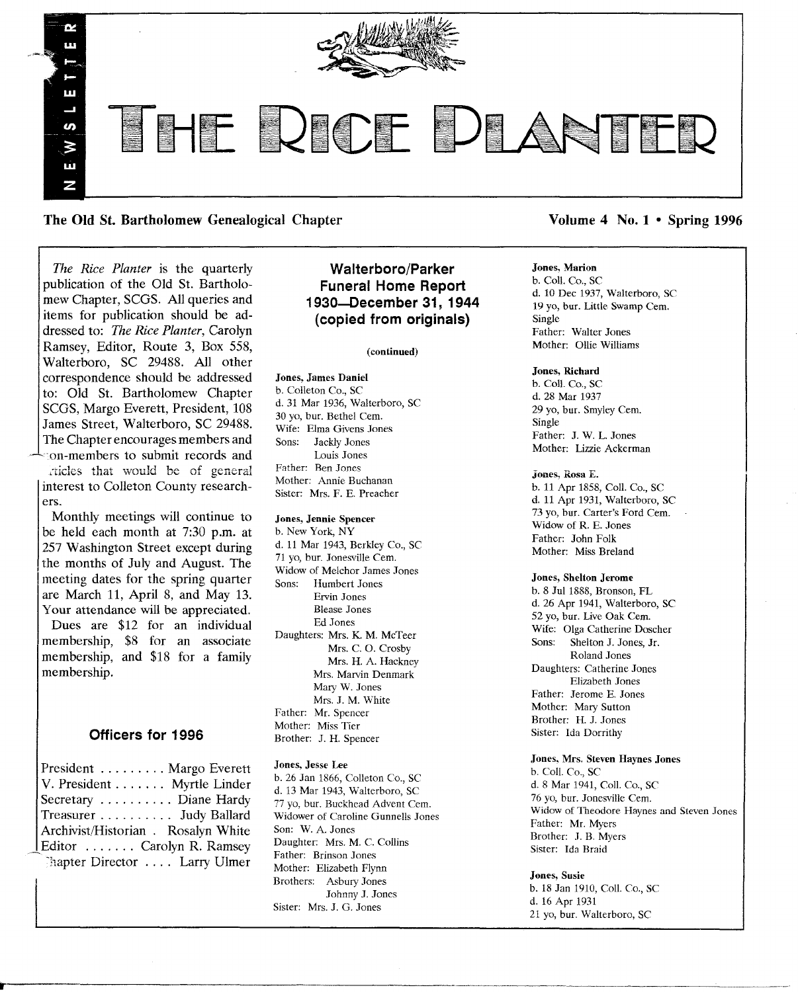

The Old St. Bartholomew Genealogical Chapter Volume 4 No. 1 • Spring 1996

*The Rice Planter* is the quarterly publication of the Old St. Bartholomew Chapter, SCGS. All queries and items for publication should be addressed to: *The Rice Planter,* Carolyn Ramsey, Editor, Route 3, Box 558, Walterboro, SC 29488. All other correspondence should be addressed to: Old St. Bartholomew Chapter SCGS, Margo Everett, President, 108 James Street, Walterboro, SC 29488. The Chapter encourages members and  $\mathcal{L}_{\text{con}}$ -members to submit records and rticles that would be of general

interest to Colleton County researchers.

Monthly meetings will continue to be held each month at 7:30 p.m. at 257 Washington Street except during the months of July and August. The meeting dates for the spring quarter are March 11, April 8, and May 13. Your attendance will be appreciated. Dues are \$12 for an individual membership, \$8 for an associate membership, and \$18 for a family membership.

## Officers for 1996

| $\text{Present} \dots \dots \text{Margo}$ Everett |
|---------------------------------------------------|
| V. President Myrtle Linder                        |
| Secretary Diane Hardy                             |
| Treasurer Judy Ballard                            |
| Archivist/Historian . Rosalyn White               |
| Editor  Carolyn R. Ramsey                         |
| Chapter Director  Larry Ulmer                     |
|                                                   |

# Walterboro/Parker Funeral Home Report 1930-December 31, 1944 (copied from originals)

#### (continued)

Jones, James Daniel b. Colleton Co., SC d. 31 Mar 1936, Walterboro, SC 30 yo, bur. Bethel Cern. Wife: Elma Givens Jones Sons: Jackly Jones Louis Jones Father: Ben Jones Mother: Annie Buchanan Sister: Mrs. F. E. Preacher

#### Jones, Jennie Spencer b. New York, NY

d. 11 Mar 1943, Berkley Co., SC 71 yo, bur. Jonesville Cern. Widow of Melchor James Jones Sons: Humbert Jones Ervin Jones Blease Jones Ed Jones Daughters: Mrs. K. M. McTeer Mrs. C. O. Crosby Mrs. H. A. Hackney Mrs. Marvin Denmark Mary W. Jones Mrs. J. M. White Father: Mr. Spencer Mother: Miss Tier Brother: J. H. Spencer

## Jones, Jesse Lee

b. 26 Jan 1866, Colleton Co., SC d. 13 Mar 1943, Walterboro, SC 77 yo, bur. Buckhead Advent Cem. Widower of Caroline Gunnells Jones Son: W. A. Jones Daughter: Mrs. M. C. Collins Father: Brinson Jones Mother: Elizabeth Flynn Brothers: Asbury Jones Johnny J. Jones Sister: Mrs. J. G. Jones

## Jones, Marion

b. Call. Co., SC d. 10 Dec 1937, Walterboro, SC 19 yo, bur. Little Swamp Cem. Single Father: Walter Jones Mother: Ollie Williams

#### Jones, Richard

b. Call. Co., SC d. 28 Mar 1937 29 yo, bur. Smyley Cem. Single Father: J. W. L. Jones Mother: Lizzie Ackerman

#### Jones, Rosa E.

b. 11 Apr 1858, Call. Co., SC d. 11 Apr 1931, Walterboro, SC 73 yo, bur. Carter's Ford Cern. Widow of R. E. Jones Father: John Folk Mother: Miss Breland

#### Jones, Shelton Jerome

b. 8 Jul 1888, Bronson, FL d. 26 Apr 1941, Walterboro, SC 52 yo, bur. Live Oak Cem. Wife: Olga Catherine Doscher<br>Sons: Shelton J. Jones, Jr. Shelton J. Jones, Jr. Roland Jones Daughters: Catherine Jones Elizabeth Jones Father: Jerome E. Jones Mother: Mary Sutton Brother: II. J. Jones Sister: Ida Dorrithy

#### Jones. Mrs. Steven Haynes Jones

b. Call. Co., SC d. 8 Mar 1941, Call. Co., SC 76 yo, bur. Jonesville Cern. Widow of Theodore Haynes and Steven Jones Father: Mr. Myers Brother: J. B. Myers Sister: Ida Braid

#### Jones, Susie

b. 18 Jan 1910, Call. Co., SC d. 16 Apr 1931 21 yo, bur. Walterboro, SC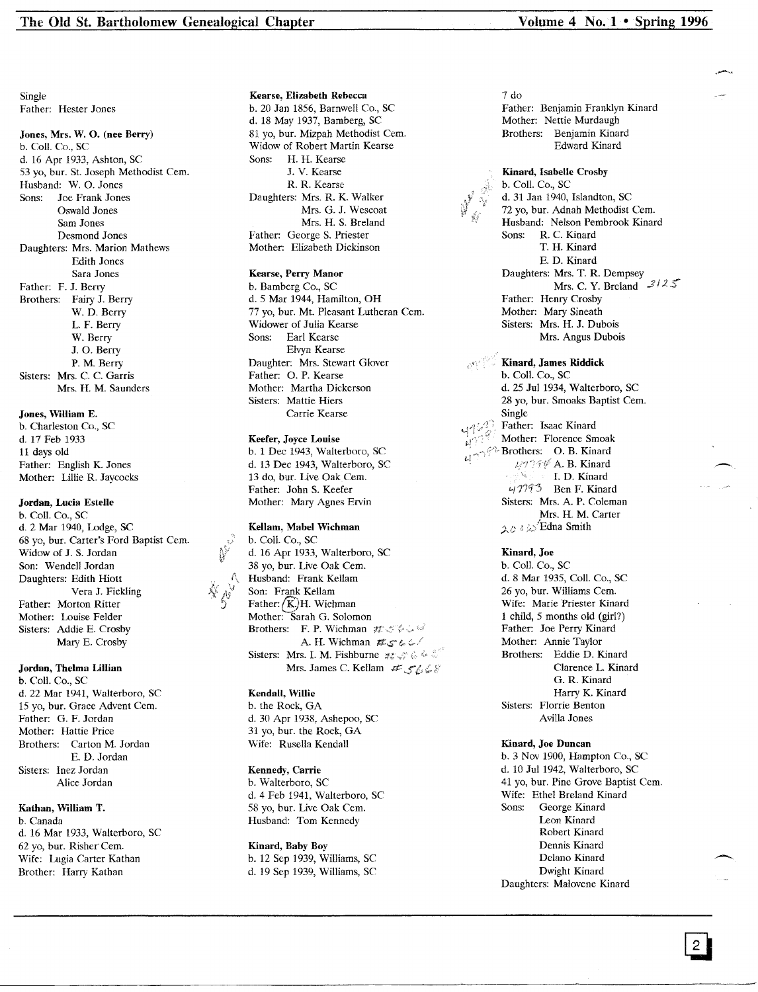Single Father: Hester Jones

## Jones, Mrs. W. O. (nee Berry)

b. Call. Co., SC d. 16 Apr 1933, Ashton, SC 53 yo, bur. St. Joseph Methodist Cern. Husband: W. O. Jones Sons: Joe Frank Jones Oswald Jones Sam Jones Desmond Jones Daughters: Mrs. Marion Mathews Edith Jones Sara Jones Father: F. J. Berry Brothers: Fairy J. Berry W. D. Berry L. F. Berry W. Berry J. O. Berry P. M. Berry Sisters: Mrs. C. C. Garris Mrs. H. M. Saunders

## Jones, William E.

b. Charleston Co., SC d. 17 Feb 1933 11 days old Father: English K. Jones Mother: Lillie R. Jaycocks

#### Jordan, Lucia Estelle

b. Call. Co., SC d. 2 Mar 1940, Lodge, SC 68 yo, bur. Carter's Ford Baptist Cern. Widow of J. S. Jordan Son: Wendell Jordan Daughters: Edith Hiott Vera J. Fickling Father: Morton Ritter Mother: Louise Felder Sisters: Addie E. Crosby Mary E. Crosby

## Jordan, Thelma lillian

b. Call. Co., SC d. 22 Mar 1941, Walterboro, SC 15 yo, bur. Grace Advent Cem. Father: G. F. Jordan Mother: Hattie Price Brothers: Carton M. Jordan E. D. Jordan Sisters: Inez Jordan Alice Jordan

## Kathan, William T.

b, Canada d. 16 Mar 1933, Walterboro, SC 62 yo, bur. Risher' Cem. Wife: Lugia Carter Kathan Brother: Harry Kathan

#### Kearse, Elizabeth Rebecca b. 20 Jan 1856, Barnwell Co., SC d. 18 May 1937, Bamberg, SC 81 yo, bur. Mizpah Methodist Cern. Widow of Robert Martin Kearse Sons: H. H. Kearse J. V. Kearse R. R. Kearse Daughters: Mrs. R. K. Walker Mrs. G. J. Wescoat Mrs. H. S. Breland Father: George S. Priester Mother: Elizabeth Dickinson

## Kearse, Perry Manor

b. Bamberg Co., SC d. 5 Mar 1944, Hamilton, OH 77 yo, bur. Mt. Pleasant Lutheran Cem. Widower of Julia Kearse Sons: Earl Kearse Elvyn Kearse Daughter: Mrs. Stewart Glover Father: O. P. Kearse Mother: Martha Dickerson Sisters: Mattie Hiers Carrie Kearse

#### Keefer, Joyce Louise

b. 1 Dec 1943, Walterboro, SC d. 13 Dec 1943, Walterboro, SC 13 do. bur. Live Oak Cem. Father: John S. Keefer Mother: Mary Agnes Ervin

## Kellam, Mabel Wichman

b. Call. Co., SC d. 16 Apr 1933, Walterboro, SC 38 yo, bur. Live Oak Cem. Husband: Frank Kellam Son: Frank Kellam Father:  $(K)$ H. Wichman Mother: Sarah G. Solomon Brothers: F. P. Wichman  $\sharp f: \mathcal{F} \to \mathcal{F}$ A. H. Wichman  $#s^* \& L^*$ Sisters: Mrs. I. M. Fishburne  $\#_{\mathbb{Z}} \#_{\mathbb{Z}}^{\mathbb{Z}} \in \mathbb{Z}$ Mrs. James C. Kellam  $H:$  5648

## Kendall, Willie

b. the Rock, GA d. 30 Apr 1938, Ashepoo, SC 31 yo, bur. the Rock, GA Wife: Rusella Kendall

## Kennedy, Carrie

b. Walterboro, SC d. 4 Feb 1941, Walterboro, SC 58 yo, bur. Live Oak Cern. Husband: Tom Kennedy

#### Kinard, Baby Boy b. 12 Sep 1939, Williams, SC d. 19 Sep 1939, Williams, SC

7 do

Father: Benjamin Franklyn Kinard Mother: Nettie Murdaugh Brothers: Benjamin Kinard Edward Kinard

Kinard, Isabelle Crosby b. Call. Co., SC d. 31 Jan 1940, Islandton, SC 72 yo, bur. Adnah Methodist Cem. Husband: Nelson Pembrook Kinard Sons: R. C. Kinard T. H. Kinard E. D. Kinard Daughters: Mrs. T. R. Dempsey Mrs. C. Y. Breland  $3125$ Father: Henry Crosby Mother: Mary Sineath Sisters: Mrs. H. J. Dubois Mrs. Angus Dubois

## Kinard, James Riddick b. Call. Co., SC d. 25 Jul 1934, Walterboro, SC 28 yo, bur. Smoaks Baptist Cem. Single Father: Isaac Kinard Mother: Florence Smoak Brothers: O. B. Kinard  $4777%$  A. B. Kinard 1. D. Kinard 47793 Ben F. Kinard Sisters: Mrs. A. P. Coleman Mrs. H. M. Carter ., ., " ,','/Edna Smith */ •.V'* j *i"-·~*

Kinard, Joe

/,.:

b. Call. Co., SC d. 8 Mar 1935, Call. Co., SC 26 yo, bur. Williams Cem. Wife: Marie Priester Kinard 1 child, 5 months old (girl?) Father: Joe Perry Kinard Mother: Annie Taylor Brothers: Eddie D. Kinard Clarence L. Kinard G. R. Kinard Harry K. Kinard Sisters: Florrie Benton Avilla Jones

## Kinard, Joe Duncan b.3 Nov 1900, Hampton Co., SC d, 10 Jul 1942, Walterboro, SC

41 vo, bur. Pine Grove Baptist Cem. Wife: Ethel Breland Kinard Sons: George Kinard Leon Kinard Robert Kinard Dennis Kinard Delano Kinard Dwight Kinard Daughters: Malovene Kinard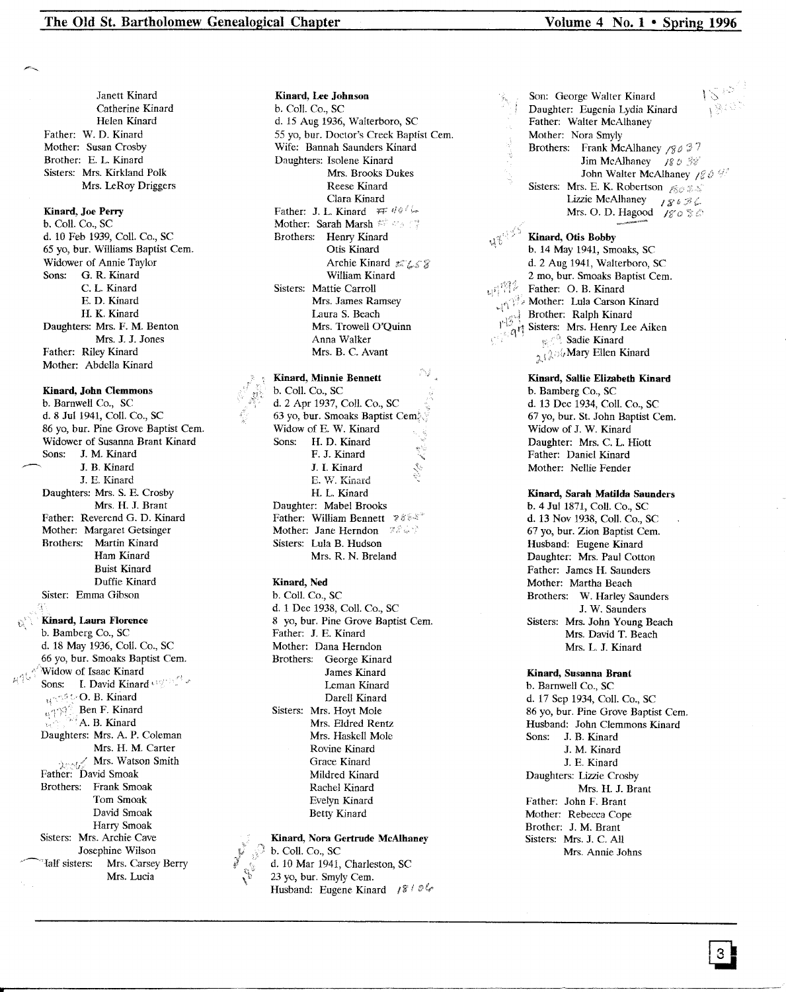Janett Kinard Catherine Kinard Helen Kinard Father: W. D. Kinard Mother: Susan Crosby Brother: E. L. Kinard Sisters: Mrs. Kirkland Polk Mrs. LeRoy Driggers

#### **Kinard, Joe Perry**

h. Call. Co., SC d. 10 Feb 1939, Call. Co., SC 65 yo, bur. Williams Baptist Cern. Widower of Annie Taylor Sons: G. R. Kinard C. L. Kinard E. D. Kinard H. K. Kinard Daughters: Mrs. F. M. Benton Mrs. J. J. Jones Father: Riley Kinard Mother: Abdella Kinard

**Kinard, John Clemmons** b. Barnwell Co., SC d. 8 Jul 1941, Coll. Co., SC 86 yo, bur. Pine Grove Baptist Cern. Widower of Susanna Brant Kinard Sons: J. M. Kinard J. B. Kinard J. E. Kinard Daughters: Mrs. S. E. Crosby Mrs. H. J. Brant Father: Reverend G. D. Kinard Mother: Margaret Getsinger Brothers: Martin Kinard Ham Kinard Buist Kinard Duffie Kinard Sister: Emma Gibson **Kinard, Laura Florence**

b. Bamberg Co., SC d. 18 May 1936, Coli. Co., SC 66 yo, bur. Smoaks Baptist Cern. Widow of Isaac Kinard Sons: I. David Kinard under O. B. Kinard Ben F. Kinard B. Kinard Daughters: Mrs. A. P. Coleman Mrs. H. M. Carter  $, \ldots, \ell$  Mrs. Watson Smith Father: David Smoak Brothers: Frank Smoak Tom Smoak David Smoak Harry Smoak Sisters: Mrs. Archie Cave Josephine Wilson 'Ialf sisters: Mrs. Carsey Berry Mrs. Lucia

b. Coil. Co., SC d. 15 Aug 1936, Walterboro, SC 55 yo, bur. Doctor's Creek Baptist Cern. Wife: Bannah Saunders Kinard Daughters: Isolene Kinard Mrs. Brooks Dukes Reese Kinard Clara Kinard Father: J. L. Kinard *'FF* Mother: Sarah Marsh Brothers: Henry Kinard Otis Kinard Archie Kinard # 458 William Kinard Sisters: Mattie Carroll Mrs. James Ramsey Laura S. Beach Mrs. Trowell O'Quinn Anna Walker Mrs. B. C. Avant

Kinard, Lee Johnson

**Kinard, Minnie Bennett** b. ColI. Co., SC d. 2 Apr 1937, Call. Co., SC 63 yo, bur. Smoaks Baptist Widow of E. W. Kinard Sons: H. D. Kinard F. J. Kinard J. I. Kinard **E. \V. Kinard** H. L. Kinard Daughter: Mabel Brooks Father: William Bennett 78% Mother: Jane Herndon 28. Sisters: Lula B. Hudson Mrs. R. N. Breland

## **Kinard, Ned**

b. Call. Co., SC d. 1 Dee 1938, ColI. Co., SC 8 yo, bur. Pine Grove Baptist Cem. Father: J. E. Kinard Mother: Dana Herndon Brothers: George Kinard James Kinard Leman Kinard Darell Kinard Sisters: Mrs. Hoyt Mole Mrs. Eldred Rentz Mrs. Haskell Mole Rovine Kinard Grace Kinard Mildred Kinard Rachel Kinard Evelyn Kinard Betty Kinard

#### **Kinard, Nora Gertrude McAlhaney** b. Call. Co., SC

**AND** d. 10 Mar 1941, Charleston, SC 23 yo, bur. Smyly Cem. Husband: Eugene Kinard  $1810$ 

 $\langle \cdot, \cdot \rangle$  $\mathcal{L}$ Son: George Walter Kinard Daughter: Eugenia Lydia Kinard Father: Walter McAlhaney Mother: Nora Smyly Brothers: Frank McAlhaney /8037 Jim McAlhaney  $180.58$ John Walter McAlhaney 1864/ Sisters: Mrs. E. K. Robertson  $\mathscr{B} \otimes \mathscr{B}$ Lizzie McAlhaney  $\iota_{\mathcal{E}} \circ \mathcal{F} \subset$ Mrs. O. D. Hagood  $/g \circ \circ \circ$ 

**Kinard, Otis Bobby** b. 14 May 1941, Smoaks, SC d. 2 Aug 1941, Walterboro, SC 2 mo, bur. Smoaks Baptist Cem. 神智。 Father: O. B. Kinard  $\mathbb{M}^{\mathbb{N}}$  Mother: Lula Carson Kinard Brother: Ralph Kinard Sisters: Mrs. Henry Lee Aiken **Sadie Kinard**  $\chi(\lambda)$ i, Mary Ellen Kinard

> **Kinard, Sallie Elizabeth Kinard** b. Bamberg Co., SC d. 13 Dee 1934, Call. Co., SC 67 yo, bur. St. John Baptist Cern. Widow of J. W. Kinard Daughter: Mrs. C. L. Hiott Father: Daniel Kinard Mother: Nellie Fender

**Kinard, Sarah Matilda Saunders** b. 4 Jul 1871, Coli. Co., SC d. 13 Nov 1938, Call. Co., SC 67 yo, bur. Zion Baptist Cern. Husband: Eugene Kinard Daughter: Mrs. Paul Cotton Father: James H. Saunders Mother: Martha Beach Brothers: W. Harley Saunders J. W. Saunders Sisters: Mrs. John Young Beach Mrs. David T. Beach Mrs. L. J. Kinard

#### **Kinard, Susanna Brant**

b. Barnwell Co., SC d. 17 Sep 1934, Call. Co., SC 86 yo, bur. Pine Grove Baptist Cem. Husband: John Clemmons Kinard Sons: J. B. Kinard J. M. Kinard J. E. Kinard Daughters: Lizzie Crosby Mrs. H. J. Brant Father: John F. Brant Mother: Rebecca Cope Brother: J. M. Brant Sisters: Mrs. J. C. All Mrs. Annie Johns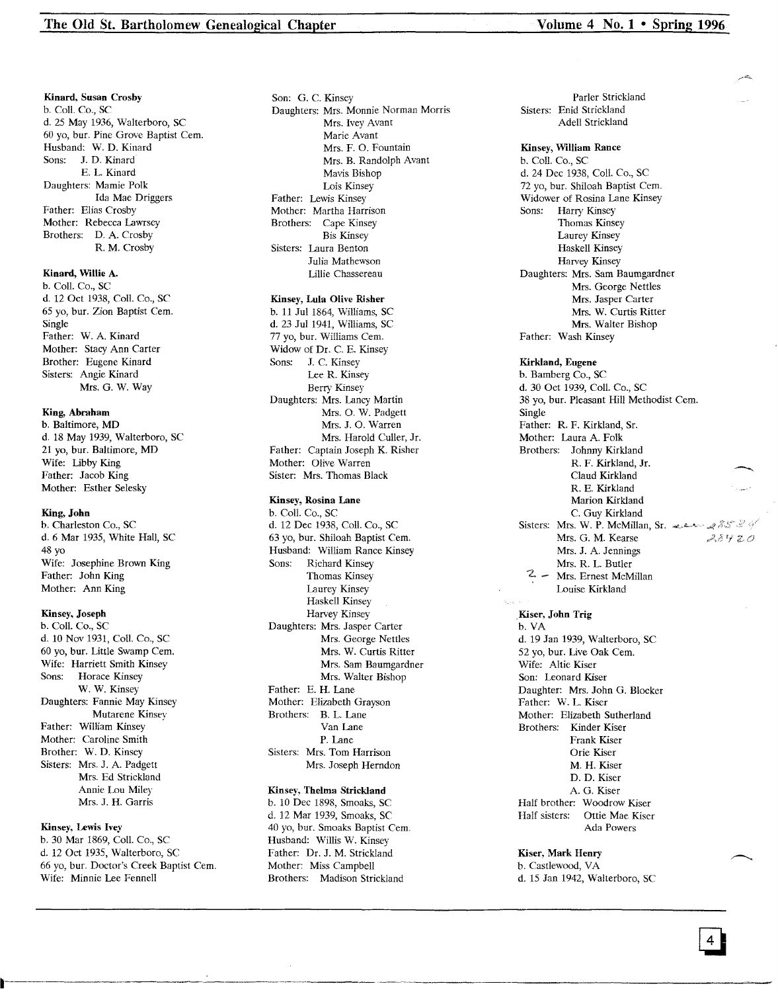#### Kinard, Susan Crosby

b. Call. Co., SC d. 25 May 1936, Walterboro, SC 60 yo, bur. Pine Grove Baptist Cern. Husband: W. D. Kinard Sons: J. D. Kinard E. L. Kinard Daughters: Mamie Polk Ida Mae Driggers Father: Elias Crosby Mother: Rebecca Lawrsey Brothers: D. A. Crosby R. M. Crosby

## Kinard, Willie A.

b. CoIl. Co., SC d. 12 Oct 1938, CoIl. Co., SC 65 yo, bur. Zion Baptist Cern. Single Father: W. A. Kinard Mother: Staey Ann Carter Brother: Eugene Kinard Sisters: Angie Kinard Mrs. G. W. Way

#### King, Abraham

b. Baltimore, MD d. 18 May 1939, Walterboro, SC 21 yo, bur. Baltimore, MD Wife: Libby King Father: Jacob King Mother: Esther Selesky

#### King, John

b. Charleston Co., SC d. 6 Mar 1935, White Hall, SC 48 yo Wife: Josephine Brown King Father: John King Mother: Ann King

#### Kinsey, Joseph

b. Call. Co., SC d. 10 Nov 1931, CoIl. Co., SC 60 yo, bur. Little Swamp Cern. Wife: Harriett Smith Kinsey Sons: Horace Kinsey W. W. Kinsey Daughters: Fannie May Kinsey Mutarene Kinsey Father: William Kinsey Mother: Caroline Smith Brother: W. D. Kinsey Sisters: Mrs. J. A. Padgett Mrs. Ed Strickland Annie Lou Miley Mrs. J. H. Garris

## Kinsey, Lewis Ivey

b. 30 Mar 1869, Call. Co., SC d. 12 Oct 1935, Walterboro, SC 66 yo, bur. Doctor's Creek Baptist Cern. Wife: Minnie Lee Fennell

Son: G. C. Kinsey Daughters: Mrs. Monnie Norman Morris Mrs. Ivey Avant Marie Avant Mrs. F. O. Fountain Mrs. B. Randolph Avant Mavis Bishop Lois Kinsey Father: Lewis Kinsey Mother: Martha Harrison Brothers: Cape Kinsey Bis Kinsey Sisters: Laura Benton Julia Mathewson Lillie Chassereau

## Kinsey, Lula Olive Risher

b. 11 Jul 1864, Williams, SC d. 23 Jul 1941, Williams, SC 77 yo, bur. Williams Cern. Widow of Dr. C. E. Kinsey Sons: J. C. Kinsey Lee R. Kinsey Berry Kinsey Daughters: Mrs. Laney Martin Mrs. O. W. Padgett Mrs. J. O. Warren Mrs. Harold Culler, Jr. Father: Captain Joseph K. Risher Mother: Olive Warren Sister: Mrs. Thomas Black

## Kinsey, Rosina Lane

b. Call. Co., SC d. 12 Dec 1938, Call. Co., SC 63 yo, bur. Shiloah Baptist Cern. Husband: William Rance Kinsey<br>Sons: Richard Kinsey Richard Kinsey Thomas Kinsey Laurey Kinsey Haskell Kinsey Harvey Kinsey Daughters: Mrs. Jasper Carter Mrs. George Nettles Mrs. W. Curtis Ritter Mrs. Sam Baumgardner Mrs. Walter Bishop Father: E. H. Lane Mother: Elizabeth Grayson Brothers: B. L. Lane Van Lane P. Lane Sisters: Mrs. Tom Harrison Mrs. Joseph Herndon

#### Kinsey, Thelma Strickland

b. 10 Dec 1898, Smoaks, SC d. 12 Mar 1939, Smoaks, SC 40 yo, bur. Smoaks Baptist Cern. Husband: Willis W. Kinsey Father: Dr. J. M. Strickland Mother: Miss Campbell Brothers: Madison Strickland

Parler Strickland Sisters: Enid Strickland Adell Strickland

## Kinsey, William Rance

b. Coil. Co., SC d. 24 Dec 1938, ColI. Co., SC 72 yo, bur. Shiloah Baptist Cem. Widower of Rosina Lane Kinsey Sons: Harry Kinsey Thomas Kinsey Laurey Kinsey Haskell Kinsey Harvey Kinsey Daughters: Mrs. Sam Baumgardner Mrs. George Nettles Mrs. Jasper Carter Mrs. W. Curtis Ritter Mrs. Walter Bishop Father: Wash Kinsey

Kirkland, Eugene b. Bamberg Co., SC d. 30 Oct 1939, Call. Co., SC 38 yo, bur. Pleasant Hill Methodist Cem. Single Father: R. F. Kirkland, Sr. Mother: Laura A. Folk Brothers: Johnny Kirkland R. F. Kirkland, Jr. Claud Kirkland R. E. Kirkland Marion Kirkland C. Guy Kirkland Sisters: Mrs. W. P. McMillan, Sr. 222 28 Mrs. G. M. Kearse  $28420$ Mrs. J. A. Jennings Mrs. R. L. Butler 'Z. - Mrs. Ernest McMillan Louise Kirkland

#### Kiser, John Trig

b. VA d. 19 Jan 1939, Walterboro, SC 52 yo, bur. Live Oak Cern. Wife: AItie Kiser Son: Leonard Kiser Daughter: Mrs. John G. Blocker Father: W. L. Kiser Mother: Elizabeth Sutherland Brothers: Kinder Kiser Frank Kiser Orie Kiser M. H. Kiser D. D. Kiser A. G. Kiser Half brother: Woodrow Kiser Half sisters: Ottie Mae Kiser Ada Powers

#### Kiser, Mark Henry

b. Castlewood, VA d. 15 Jan 1942, Walterboro, SC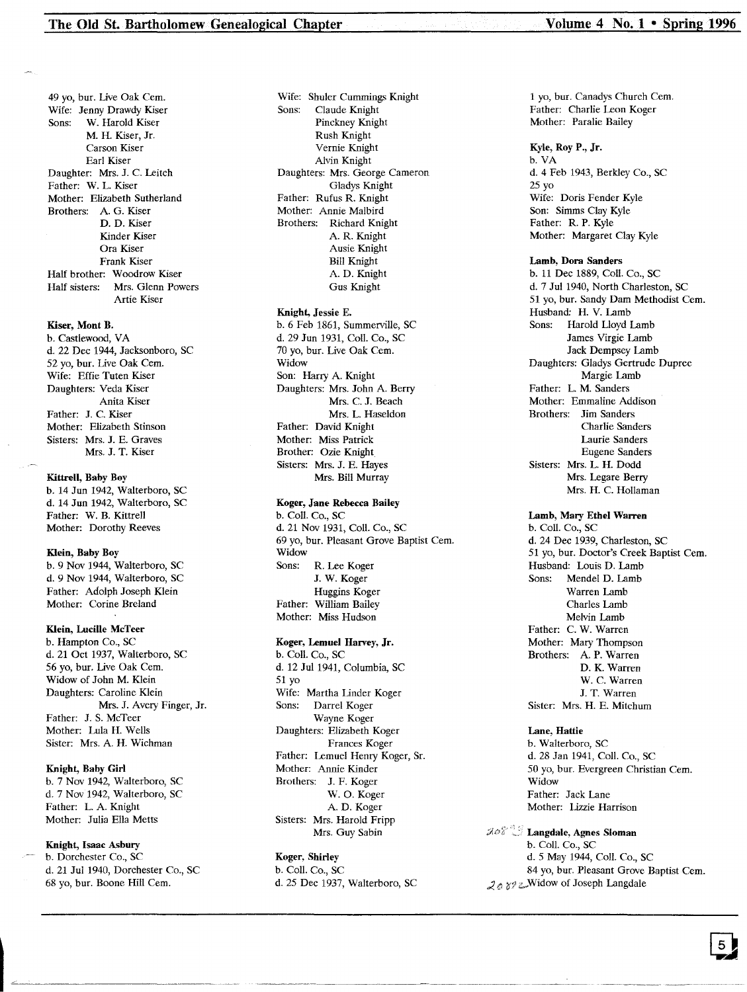49 yo, bur. Live Oak Cem. Wife: Jenny Drawdy Kiser<br>Sons: W. Harold Kiser W. Harold Kiser M. H. Kiser, Jr. Carson Kiser Earl Kiser Daughter: Mrs. J. C. Leitch Father: W. L. Kiser Mother: Elizabeth Sutherland Brothers: A. G. Kiser D. D. Kiser Kinder Kiser Ora Kiser Frank Kiser Half brother: Woodrow Kiser Half sisters: Mrs. Glenn Powers Artie Kiser

#### Kiser, Mont B.

b. Castlewood, VA d. 22 Dec 1944, Jacksonboro, SC 52 yo, bur. Live Oak Cern. Wife: Effie Tuten Kiser Daughters: Veda Kiser Anita Kiser Father: J. C. Kiser Mother: Elizabeth Stinson Sisters: Mrs. J. E. Graves Mrs. J. T. Kiser

#### Kittrell, Baby Boy

b. 14 Jun 1942, Walterboro, SC d. 14 Jun 1942, Walterboro, SC Father: W. B. Kittrell Mother: Dorothy Reeves

## Klein, Baby Boy

b. 9 Nov 1944, Walterboro, SC d. 9 Nov 1944, Walterboro, SC Father: Adolph Joseph Klein Mother: Corine Breland

#### Klein, Lucille McTeer

b. Hampton Co., SC d. 21 Oct 1937, Walterboro, SC 56 yo, bur. Live Oak Cern. Widow of John M. Klein Daughters: Caroline Klein Mrs. J. Avery Finger, Jr. Father: J. S. McTeer Mother: Lula H. Wells Sister: Mrs. A. H. Wichman

#### Knight, Baby Girl

b. 7 Nov 1942, Walterboro, SC d. 7 Nov 1942, Walterboro, SC Father: L. A. Knight Mother: Julia Ella Metts

## Knight, Isaac Asbury

b. Dorchester Co., SC d. 21 Jul 1940, Dorchester Co., SC 68 yo, bur. Boone Hill Cem.

Wife: Shuler Cummings Knight<br>Sons: Claude Knight Claude Knight Pinckney Knight Rush Knight Vernie Knight Alvin Knight Daughters: Mrs. George Cameron Gladys Knight Father: Rufus R. Knight Mother: Annie Malbird Brothers: Richard Knight A. R. Knight Ausie Knight Bill Knight A. D. Knight Gus Knight

## Knight, Jessie E.

b. 6 Feb 1861, Summerville, SC d. 29 Jun 1931, Coli. Co., SC 70 yo, bur. Live Oak Cem. Widow Son: Harry A. Knight Daughters: Mrs. John A. Berry Mrs. C. J. Beach Mrs. L. Haseldon Father: David Knight Mother: Miss Patrick Brother: Ozie Knight Sisters: Mrs. J. E. Hayes Mrs. Bill Murray

#### Koger, Jane Rebecca Bailey

b. ColI. Co., SC d. 21 Nov 1931, Coli. Co., SC 69 yo, bur. Pleasant Grove Baptist Cern. Widow Sons: R. Lee Koger J. W. Koger Huggins Koger Father: William Bailey Mother: Miss Hudson

## Koger, Lemuel Harvey, Jr.

b. Coli. Co., SC d. 12 Jul 1941, Columbia, SC 51 yo Wife: Martha Linder Koge Sons: Darrel Koger Wayne Koger Daughters: Elizabeth Koger Frances Koger Father: Lemuel Henry Koger, Sr. Mother: Annie Kinder Brothers: J. F. Koger W. O. Koger A. D. Koger Sisters: Mrs. Harold Fripp Mrs. Guy Sabin

## Koger, Shirley

b. Coli. Co., SC d. 25 Dec 1937, Walterboro, SC

1 yo, bur. Canadys Church Cern. Father: Charlie Leon Koger Mother: Paralie Bailey

#### Kyle, Roy P., Jr.

b. VA d. 4 Feb 1943, Berkley Co., SC 25 yo Wife: Doris Fender Kyle Son: Simms Clay Kyle Father: R. P. Kyle Mother: Margaret Clay Kyle

#### Lamb, Dora Sanders

b. 11 Dec 1889, Coli. Co., SC d. 7 Jul 1940, North Charleston, SC 51 yo, bur. Sandy Dam Methodist Cem. Husband: H. V. Lamb Sons: Harold Lloyd Lamb James Virgie Lamb Jack Dempsey Lamb Daughters: Gladys Gertrude Dupree Margie Lamb Father: L. M. Sanders Mother: Emmaline Addison Brothers: Jim Sanders Charlie Sanders Laurie Sanders Eugene Sanders Sisters: Mrs. L. H. Dodd Mrs. Legare Berry Mrs. H. C. Hollaman

## Lamb, Mary Ethel Warren

b. ColI. Co., SC d. 24 Dec 1939, Charleston, SC 51 yo, bur. Doctor's Creek Baptist Cern. Husband: Louis D. Lamb Sons: Mendel D. Lamb Warren Lamb Charles Lamb Melvin Lamb Father: C. W. Warren Mother: Mary Thompson Brothers: A. P. Warren D. K. Warren W. C. Warren J. T. Warren Sister: Mrs. H. E. Mitchum

#### Lane, Hattie

b. Walterboro, SC d. 28 Jan 1941, Coli. Co., SC 50 yo, bur. Evergreen Christian Cem. Widow Father: Jack Lane Mother: Lizzie Harrison

## Langdale, Agnes Sloman b. ColI. Co., SC

d. 5 May 1944, Coli. Co., SC 84 yo, bur. Pleasant Grove Baptist Cem.  $2a$   $y$   $z$  Widow of Joseph Langdale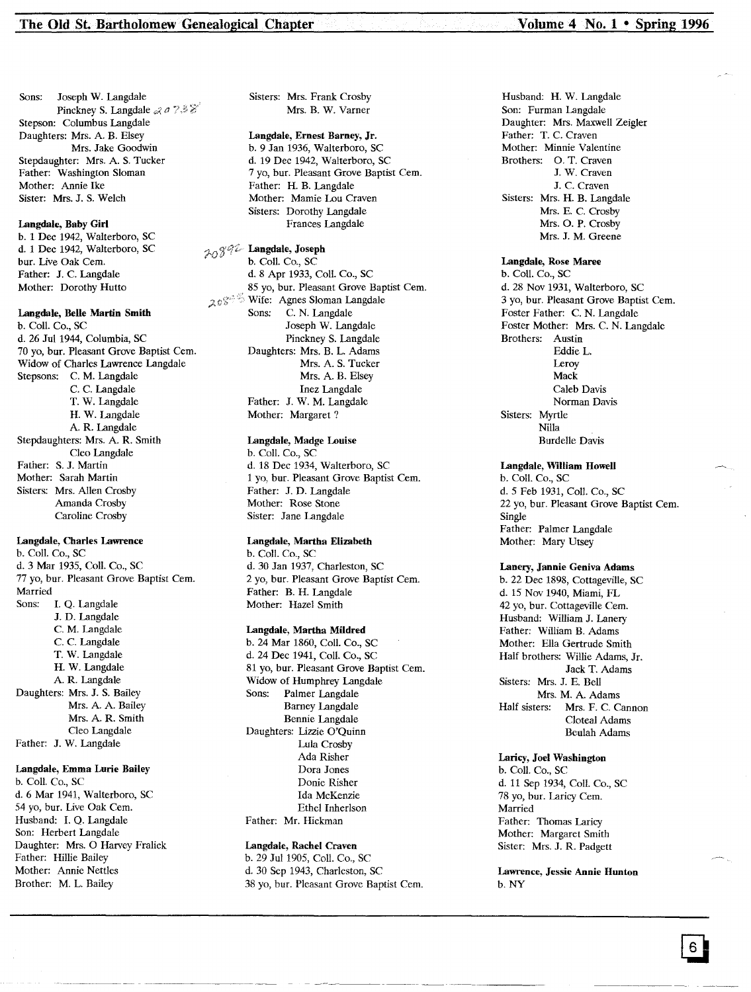Sons: Joseph W. Langdale Pinckney S. Langdale  $\mathcal{A} \circ \mathcal{I} \mathcal{B} \mathcal{C}$ Stepson: Columbus Langdale Daughters: Mrs. A. B. Elsey Mrs. Jake Goodwin Stepdaughter: Mrs. A. S. Tucker Father: Washington Sloman Mother: Annie Ike Sister: Mrs. J. S. Welch

#### Langdale, Baby Girl

b. 1 Dec 1942, Walterboro, SC d. 1 Dec 1942, Walterboro, SC bur. Live Oak Cern. Father: J. C. Langdale Mother: Dorothy Hutto

#### Langdale, Belle Martin Smith

b. ColI. Co., SC d. 26 Jul 1944, Columbia, SC 70 yo, bur. Pleasant Grove Baptist Cern. Widow of Charles Lawrence Langdale Stepsons: C. M. Langdale C. C. Langdale T. W. Langdale H. W. Langdale A. R. Langdale Stepdaughters: Mrs. A. R. Smith Cleo Langdale Father: S. J. Martin Mother: Sarah Martin Sisters: Mrs. Allen Crosby Amanda Crosby Caroline Crosby

## Langdale, Charles Lawrence

b. ColI. Co., SC d. 3 Mar 1935, ColI. Co., SC 77 yo, bur. Pleasant Grove Baptist Cern. Married Sons: 1. Q. Langdale J. D. Langdale C. M. Langdale C. C. Langdale T. W. Langdale H. W. Langdale A. R. Langdale Daughters: Mrs. J. S. Bailey Mrs. A. A. Bailey Mrs. A. R. Smith Cleo Langdale

Father: J. W. Langdale

## Langdale, Emma Lurie Bailey

b. ColI. Co., SC d. 6 Mar 1941, Walterboro, SC 54 yo, bur. Live Oak Cem. Husband: 1. Q. Langdale Son: Herbert Langdale Daughter: Mrs. 0 Harvey Fralick Father: Hillie Bailey Mother: Annie Nettles Brother: M. L. Bailey

Sisters: Mrs. Frank Crosby Mrs. B. W. Varner

## Langdale, Ernest Barney, Jr.

b. 9 Jan 1936, Walterboro, SC d. 19 Dec 1942, Walterboro, SC 7 yo, bur. Pleasant Grove Baptist Cem. Father: H. B. Langdale Mother: Mamie Lou Craven Sisters: Dorothy Langdale Frances Langdale

# 20892 Langdale, Joseph

b. ColI. Co., SC d. 8 Apr 1933, ColI. Co., SC 85 yo, bur. Pleasant Grove Baptist Cem.  $20\%$ <sup> $\degree$ </sup> Wife: Agnes Sloman Langdale Sons: C. N. Langdale Joseph W. Langdale Pinckney S. Langdale Daughters: Mrs. B. L. Adams Mrs. A. S. Tucker Mrs. A. B. Elsey Inez Langdale Father: J. W. M. Langdale Mother: Margaret?

#### Langdale, Madge Louise

b. CoIl. Co., SC d. 18 Dec 1934, Walterboro, SC 1 yo, bur. Pleasant Grove Baptist Cern. Father: J. D. Langdale Mother: Rose Stone Sister: Jane Langdale

#### Langdale, Martha Elizabeth

b. ColI. Co., SC d. 30 Jan 1937, Charleston, SC 2 yo, bur. Pleasant Grove Baptist Cem. Father: B. H. Langdale Mother: Hazel Smith

#### Langdale, Martha Mildred

b. 24 Mar 1860, ColI. Co., SC d. 24 Dec 1941, ColI. Co., SC 81 yo, bur. Pleasant Grove Baptist Cem. Widow of Humphrey Langdale Sons: Palmer Langdale Barney Langdale Bennie Langdale Daughters: Lizzie O'Quinn Lula Crosby Ada Risher Dora Jones Donie Risher Ida McKenzie Ethel Inherlson Father: Mr. Hickman

#### Langdale, Rachel Craven b. 29 Jul 1905, ColI. Co., SC d. 30 Sep 1943, Charleston, SC 38 yo, bur. Pleasant Grove Baptist Cem.

Husband: H. W. Langdale Son: Furman Langdale Daughter: Mrs. Maxwell Zeigler Father: T. C. Craven Mother: Minnie Valentine Brothers: O. T. Craven J. W. Craven J. C. Craven Sisters: Mrs. H. B. Langdale Mrs. E. C. Crosby Mrs. O. P. Crosby Mrs. J. M. Greene

## Langdale, Rose Maree

b. ColI. Co., SC d. 28 Nov 1931, Walterboro, SC 3 yo, bur. Pleasant Grove Baptist Cern. Foster Father: C. N. Langdale Foster Mother: Mrs. C. N. Langdale Brothers: Austin Eddie L. Leroy Mack Caleb Davis Norman Davis Sisters: Myrtle Nilla Burdelle Davis

#### Langdale, William Howell

b. ColI. Co., SC d.5 Feb 1931, ColI. Co., SC 22 yo, bur. Pleasant Grove Baptist Cem. Single Father: Palmer Langdale Mother: Mary Utsey

## Lanery, Jannie Geniva Adams

b. 22 Dec 1898, Cottageville, SC d. 15 Nov 1940, Miami, FL 42 yo, bur. Cottageville Cem. Husband: William J. Lanery Father: William B. Adams Mother: Ella Gertrude Smith Half brothers: Willie Adams, Jr. Jack T. Adams Sisters: Mrs. J. E. Bell Mrs. M. A. Adams Half sisters: Mrs. F. C. Cannon Cloteal Adams Beulah Adams

## Laricy, Joel Washington

b. ColI. Co., SC d. 11 Sep 1934, ColI. Co., SC 78 yo, bur. Laricy Cern. Married Father: Thomas Laricy Mother: Margaret Smith Sister: Mrs. J. R. Padgett

Lawrence, Jessie Annie Hunton b.NY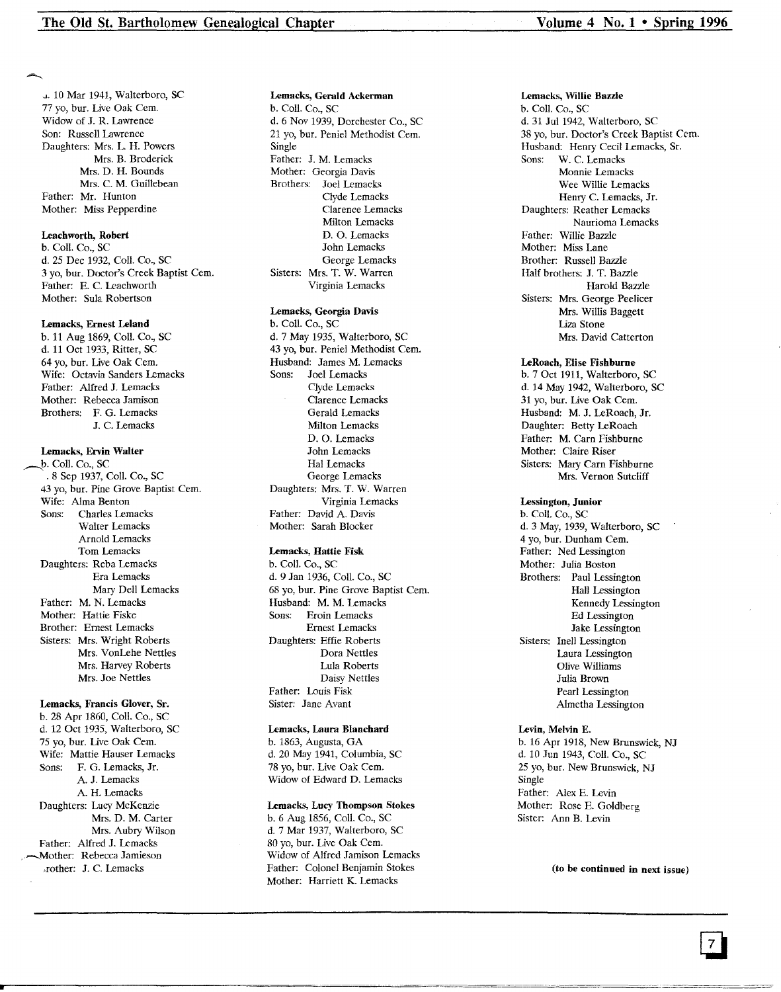J. 10 Mar 1941, Walterboro, SC 77 yo, bur. Live Oak Cern. Widow of J. R. Lawrence Son: Russell Lawrence Daughters: Mrs. L. H. Powers Mrs. B. Broderick Mrs. D. H. Bounds Mrs. C. M. Guillebean Father: Mr. Hunton Mother: Miss Pepperdine

## Leachworth, Robert

b. Coil. Co., SC d. 25 Dec 1932, Coli. Co., SC 3 yo, bur. Doctor's Creek Baptist Cern. Father: E. C. Leachworth Mother: Sula Robertson

#### Lemacks, Ernest Leland

b. 11 Aug 1869, Coil. Co., SC d. 11 Oct 1933, Ritter, SC 64 yo, bur. Live Oak Cern. Wife: Octavia Sanders Lemacks Father: Alfred J. Lemacks Mother: Rebecca Jamison Brothers: F. G. Lemacks J. C. Lernacks

## Lemacks, Ervin Walter

b. Coll. Co., SC .8 Sep 1937, Coli. Co., SC 43 yo, bur. Pine Grove Baptist Cern. Wife: Alma Benton Sons: Charles Lernacks Walter Lemacks Arnold Lernacks Tom Lernacks Daughters: Reba Lemacks Era Lernacks Mary Dell Lernacks Father: M. N. Lemacks Mother: Hattie Fiske Brother: Ernest Lemacks Sisters: Mrs. Wright Roberts Mrs. VonLehe Nettles Mrs. Harvey Roberts Mrs. Joe Nettles

## Lemacks, Francis Glover, Sr.

b. 28 Apr 1860, ColI. Co., SC d. 12 Oct 1935, Walterboro, SC 75 vo, bur. Live Oak Cem. Wife: Mattie Hauser Lemacks Sons: F. G. Lernacks, Jr. A. J. Lernacks A. H. Lernacks Daughters: Lucy McKenzie Mrs. D. M. Carter Mrs. Aubry Wilson Father: Alfred J. Lemacks Mother: Rebecca Jamieson .rather: J. C. Lernacks

#### Lemacks, Gerald Ackerman

b. ColI. Co., SC d. 6 Nov 1939, Dorchester Co., SC 21 yo, bur. Peniel Methodist Cern. Single Father: J. M. Lemacks Mother: Georgia Davis Brothers: Joel Lernacks Clyde Lernacks Clarence Lernacks Milton Lernacks D. O. Lernacks John Lernacks George Lemacks Sisters: Mrs. T. W. Warren Virginia Lernacks

## Lemacks, Georgia Davis

b. Coil. Co., SC d. 7 May 1935, Walterboro, SC 43 yo, bur. Peniel Methodist Cem. Husband: James M. Lernacks Sons: Joel Lernacks Clyde Lernacks Clarence Lernacks Gerald Lernacks Milton Lernacks D. O. Lernacks John Lernacks Hal Lernacks George Lernacks Daughters: Mrs. T. W. Warren Virginia Lernacks Father: David A. Davis Mother: Sarah Blocker

#### Lemacks, Hattie Fisk

b. Coli. Co., SC d. 9 Jan 1936, ColI. Co., SC 68 yo, bur. Pine Grove Baptist Cern. Husband: M. M. Lemacks Sons: Eroin Lernacks Ernest Lernacks Daughters: Effie Roberts Dora Nettles Lula Roberts Daisy Nettles Father: Louis Fisk Sister: Jane Avant

#### Lemacks, Laura Blanchard

b. 1863, Augusta, GA d. 20 May 1941, Columbia, SC 78 yo, bur. Live Oak Cem. Widow of Edward D. Lemacks

#### Lemacks, Lucy Thompson Stokes

b. 6 Aug 1856, ColI. Co., SC d. 7 Mar 1937, Walterboro, SC 80 yo, bur. Live Oak Cern. Widow of Alfred Jamison Lemacks Father: Colonel Benjamin Stokes Mother: Harriett K. Lemacks

#### Lemacks, Willie Bazzle

b. Coli. Co., SC d. 31 Jul 1942, Walterboro, SC 38 yo, bur. Doctor's Creek Baptist Cern. Husband: Henry Cecil Lemacks, Sr.<br>Sons: W. C. Lemacks W. C. Lemacks Monnie Lernacks Wee Willie Lernacks Henry C. Lemacks, Jr. Daughters: Reather Lernacks Naurioma Lemacks Father: Willie Bazzle Mother: Miss Lane Brother: Russell Bazzle Half brothers: J. T. Bazzle Harold Bazzle Sisters: Mrs. George Peelicer Mrs. Willis Baggett Liza Stone Mrs. David Catterton

#### LeRoach, Elise Fishburne

b. 7 Oct 1911, Walterboro, SC d. 14 May 1942, Walterboro, SC 31 yo, bur. Live Oak Cem. Husband: M. J. LeRoach, Jr. Daughter: Betty LeRoach Father: M. Carn Fishburne Mother: Claire Riser Sisters: Mary Carn Fishburne Mrs. Vernon Sutcliff

#### Lessington, Junior

b. Coli. Co., SC d. 3 May, 1939, Walterboro, SC 4 yo, bur. Dunham Cem. Father: Ned Lessington Mother: Julia Boston Brothers: Paul Lessington Hall Lessington Kennedy Lessington Ed Lessington Jake Lessington Sisters: Inell Lessington Laura Lessington Olive Williams Julia Brown Pearl Lessington Almetha Lessington

## Levin, Melvin E.

b. 16 Apr 1918, New Brunswick, NJ d. 10 Jun 1943, Coll. Co., SC 25 yo, bur. New Brunswick, NJ Single Father: Alex E. Levin Mother: Rose E. Goldberg Sister: Ann B. Levin

(to be continued in next issue)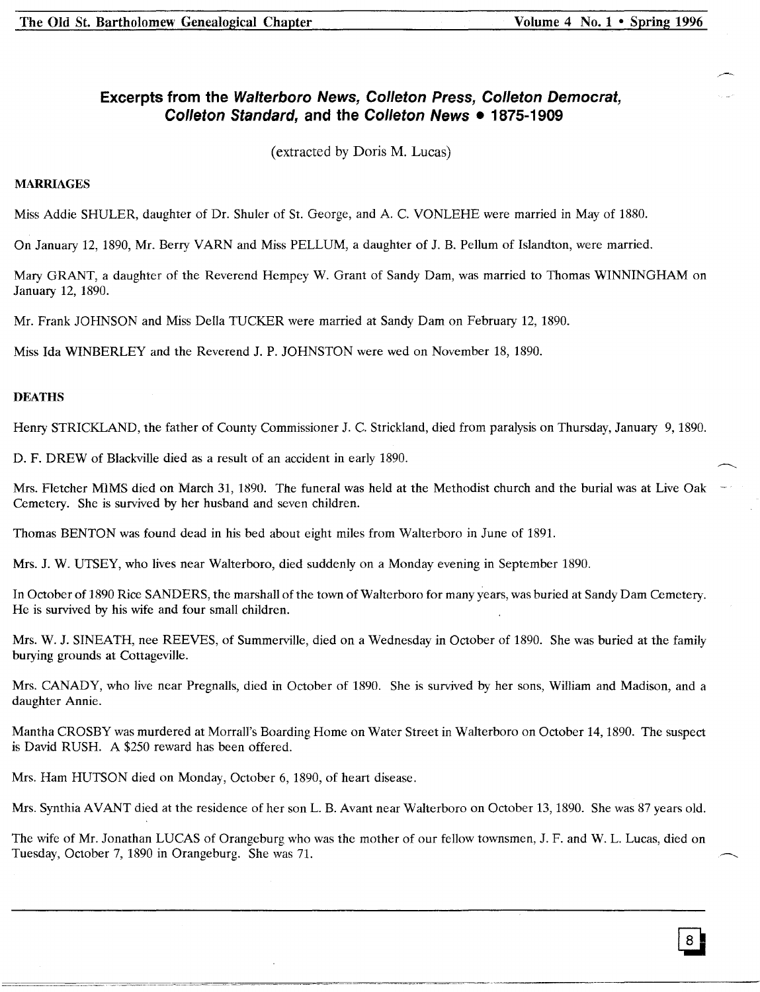# **Excerpts from the Walterboro News, Colleton Press, Colleton Democrat, Colleton Standard, and the Colleton News • 1875-1909**

(extracted by Doris M. Lucas)

## **MARRIAGES**

Miss Addie SHULER, daughter of Dr. Shuler of St. George, and A. C. VONLEHE were married in May of 1880.

On January 12, 1890, Mr. Berry VARN and Miss PELLUM, a daughter of J. B. Pellum of Islandton, were married.

Mary GRANT, a daughter of the Reverend Hempey W. Grant of Sandy Dam, was married to Thomas WINNINGHAM on January 12, 1890.

Mr. Frank JOHNSON and Miss Della TUCKER were married at Sandy Dam on February 12, 1890.

Miss Ida WINBERLEY and the Reverend J. P. JOHNSTON were wed on November 18, 1890.

## **DEATHS**

Henry STRICKLAND, the father of County Commissioner J. C. Strickland, died from paralysis on Thursday, January 9, 1890.

D. F. DREW of Blackville died as a result of an accident in early 1890.

Mrs. Fletcher MIMS died on March 31, 1890. The funeral was held at the Methodist church and the burial was at Live Oak Cemetery. She is survived by her husband and seven children.

Thomas BENTON was found dead in his bed about eight miles from Walterboro in June of 1891.

Mrs. J. W. UTSEY, who lives near Walterboro, died suddenly on a Monday evening in September 1890.

In October of 1890 Rice SANDERS, the marshall of the town of Walterboro for many years, was buried at Sandy Dam Cemetery. He is survived by his wife and four small children.

Mrs. W. J. SINEATH, nee REEVES, of Summerville, died on a Wednesday in October of 1890. She was buried at the family burying grounds at Cottageville.

Mrs. CANADY, who live near Pregnalls, died in October of 1890. She is survived by her sons, William and Madison, and a daughter Annie.

Mantha CROSBY was murdered at Morrall's Boarding Home on Water Street in Walterboro on October 14, 1890. The suspect is David RUSH. A \$250 reward has been offered.

Mrs. Ham HUTSON died on Monday, October 6,1890, of heart disease.

Mrs. Synthia AVANT died at the residence of her son L. B. Avant near Walterboro on October 13, 1890. She was 87 years old.

The wife of Mr. Jonathan LUCAS of Orangeburg who was the mother of our fellow townsmen, J. F. and W. L. Lucas, died on Tuesday, October 7, 1890 in Orangeburg. She was 71.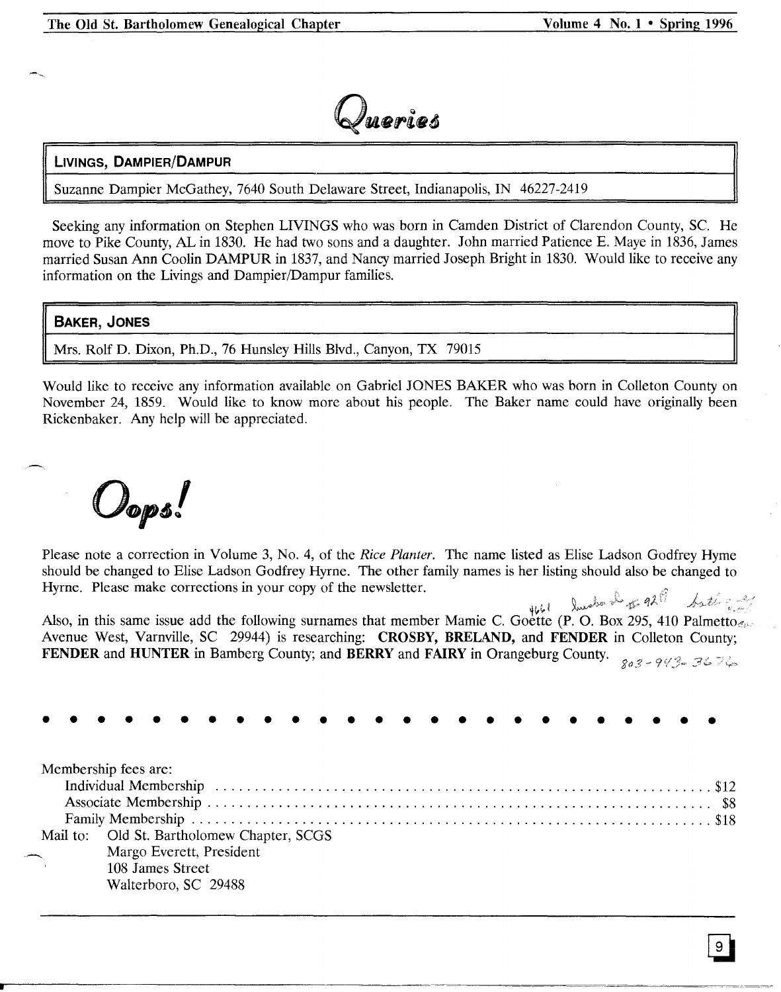

# **LIVINGS, DAMPIER/DAMPUR**

Suzanne Dampier McGathey, 7640 South Delaware Street, Indianapolis, IN 46227-2419

Seeking any information on Stephen LIVINGS who was born in Camden District of Clarendon County, Sc. He move to Pike County, AL in 1830. He had two sons and a daughter. John married Patience E. Maye in 1836, James married Susan Ann Coolin DAMPUR in 1837, and Nancy married Joseph Bright in 1830. Would like to receive any information on the Livings and Dampier/Dampur families.

# BAKER, JONES

Mrs. Rolf D. Dixon, Ph.D., 76 Hunsley Hills Blvd., Canyon, TX 79015

Would like to receive any information available on Gabriel JONES BAKER who was born in Colleton County on November 24, 1859. Would like to know more about his people. The Baker name could have originally been Rickenbaker. Any help will be appreciated.

 $\omega_{\textit{ops}}$ !

Please note a correction in Volume 3, NO.4, of the *Rice Planter.* The name listed as Elise Ladson Godfrey Hyrne should be changed to Elise Ladson Godfrey Hyrne. The other family names is her listing should also be changed to Hyrne. Please make corrections in your copy of the newsletter.

4661 Smaker 2 of 9219 bath and Also, in this same issue add the following surnames that member Mamie C. Goette (P. O. Box 295, 410 Palmetto,: Avenue West, Varnville, SC 29944) is researching: CROSBY, BRELAND, and FENDER in Colleton County; FENDER and HUNTER in Bamberg County; and BERRY and FAIRY in Orangeburg County.  $\frac{883 - 943}{803 - 943}$ 

| .                                                                                                                                          |  |  |  |  |
|--------------------------------------------------------------------------------------------------------------------------------------------|--|--|--|--|
| Membership fees are:<br>Mail to: Old St. Bartholomew Chapter, SCGS<br>Margo Everett, President<br>108 James Street<br>Walterboro, SC 29488 |  |  |  |  |